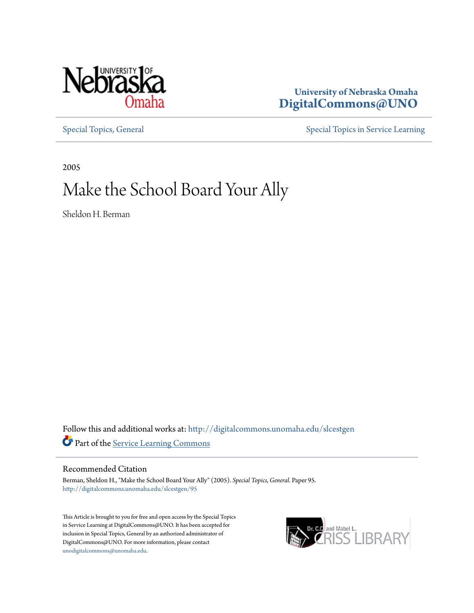

## **University of Nebraska Omaha [DigitalCommons@UNO](http://digitalcommons.unomaha.edu?utm_source=digitalcommons.unomaha.edu%2Fslcestgen%2F95&utm_medium=PDF&utm_campaign=PDFCoverPages)**

[Special Topics, General](http://digitalcommons.unomaha.edu/slcestgen?utm_source=digitalcommons.unomaha.edu%2Fslcestgen%2F95&utm_medium=PDF&utm_campaign=PDFCoverPages) [Special Topics in Service Learning](http://digitalcommons.unomaha.edu/slcespecialtopics?utm_source=digitalcommons.unomaha.edu%2Fslcestgen%2F95&utm_medium=PDF&utm_campaign=PDFCoverPages)

2005

## Make the School Board Your Ally

Sheldon H. Berman

Follow this and additional works at: [http://digitalcommons.unomaha.edu/slcestgen](http://digitalcommons.unomaha.edu/slcestgen?utm_source=digitalcommons.unomaha.edu%2Fslcestgen%2F95&utm_medium=PDF&utm_campaign=PDFCoverPages) Part of the [Service Learning Commons](http://network.bepress.com/hgg/discipline/1024?utm_source=digitalcommons.unomaha.edu%2Fslcestgen%2F95&utm_medium=PDF&utm_campaign=PDFCoverPages)

Recommended Citation

Berman, Sheldon H., "Make the School Board Your Ally" (2005). *Special Topics, General.* Paper 95. [http://digitalcommons.unomaha.edu/slcestgen/95](http://digitalcommons.unomaha.edu/slcestgen/95?utm_source=digitalcommons.unomaha.edu%2Fslcestgen%2F95&utm_medium=PDF&utm_campaign=PDFCoverPages)

This Article is brought to you for free and open access by the Special Topics in Service Learning at DigitalCommons@UNO. It has been accepted for inclusion in Special Topics, General by an authorized administrator of DigitalCommons@UNO. For more information, please contact [unodigitalcommons@unomaha.edu](mailto:unodigitalcommons@unomaha.edu).

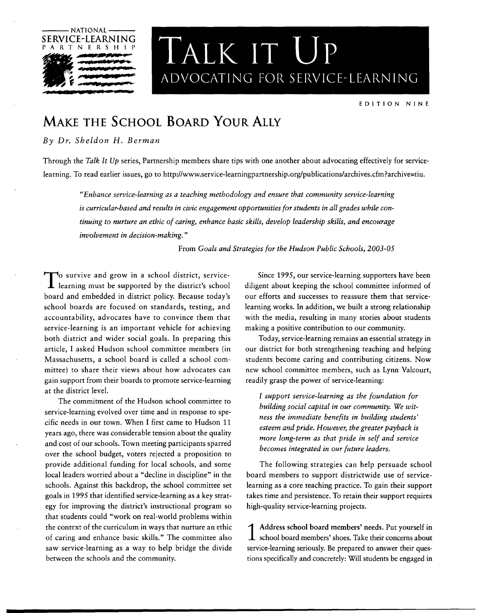

# $\frac{\text{LEARNING}}{\text{LATE}}$  **TALK IT UP** ,. *p* ....... ··-- **<sup>f</sup>***\_.a* **.... JEJII..-.,.··** ADVOCATING FOR SERVICE-LEARNING

EDITION NINE

## **MAKE THE SCHOOL BOARD YouR ALLY**

### *By Dr. Sheldon* H. *Berman*

Through the *Talk It Up* series, Partnership members share tips with one another about advocating effectively for servicelearning. To read earlier issues, go to http://www.service-learningpartnership.org/publications/archives.cfm?archive=tiu.

*"Enhance servic{!-learning as a teaching methodology and ensure that community service-learning is curricular-based and results in civic engagement opportunities for students in all grades while continuing to nurture an ethic of caring, enhance basic skills, develop leadership skills, and encourage involvement in decision-making."* 

From *Goals and Strategies for the Hudson Public Schools, 2003-05* 

To survive and grow in a school district, service-<br>learning must be supported by the district's school board and embedded in district policy. Because today's school boards are focused on standards, testing, and accountability, advocates have to convince them that service-learning is an important vehicle for achieving both district and wider social goals. In preparing this article, I asked Hudson school committee members (in Massachusetts, a school board is called a school committee) to share their views about how advocates can gain support from their boards to promote service-learning at the district level.

The commitment of the Hudson school committee to service-learning evolved over time and in response to specific needs in our town. When I first came to Hudson 11 years ago, there was considerable tension about the quality and cost of our schools. Town meeting participants sparred over the school budget, voters rejected a proposition to provide additional funding for local schools, and some local leaders worried about a "decline in discipline" in the schools. Against this backdrop, the school committee set goals in 1995 that identified service-learning as a key strategy for improving the district's instructional program so that students could "work on real-world problems within the context of the curriculum in ways that nurture an ethic of caring and enhance basic skills." The committee also saw service-learning as a way to help bridge the divide between the schools and the community.

Since 1995, our service-learning supporters have been diligent about keeping the school committee informed of our efforts and successes to reassure them that servicelearning works. In addition, we built a strong relationship with the media, resulting in many stories about students making a positive contribution to our community.

Today, service-learning remains an essential strategy in our district for both strengthening teaching and helping students become caring and contributing citizens. Now new school committee members, such as Lynn Valcourt, readily grasp the power of service-learning:

*I support service-learning as the foundation for building social capital in our community. We witness the immediate benefits in building students' esteem and pride. However, the greater payback is more long-term as that pride in self and service becomes integrated in our future leaders.* 

The following strategies can help persuade school board members to support districtwide use of servicelearning as a core teaching practice. To gain their support takes time and persistence. To retain their support requires high-quality service-learning projects.

1 Address school board members' needs. Put yourself in school board members' shoes. Take their concerns about service-learning seriously. Be prepared to answer their questions specifically and concretely: Will students be engaged in